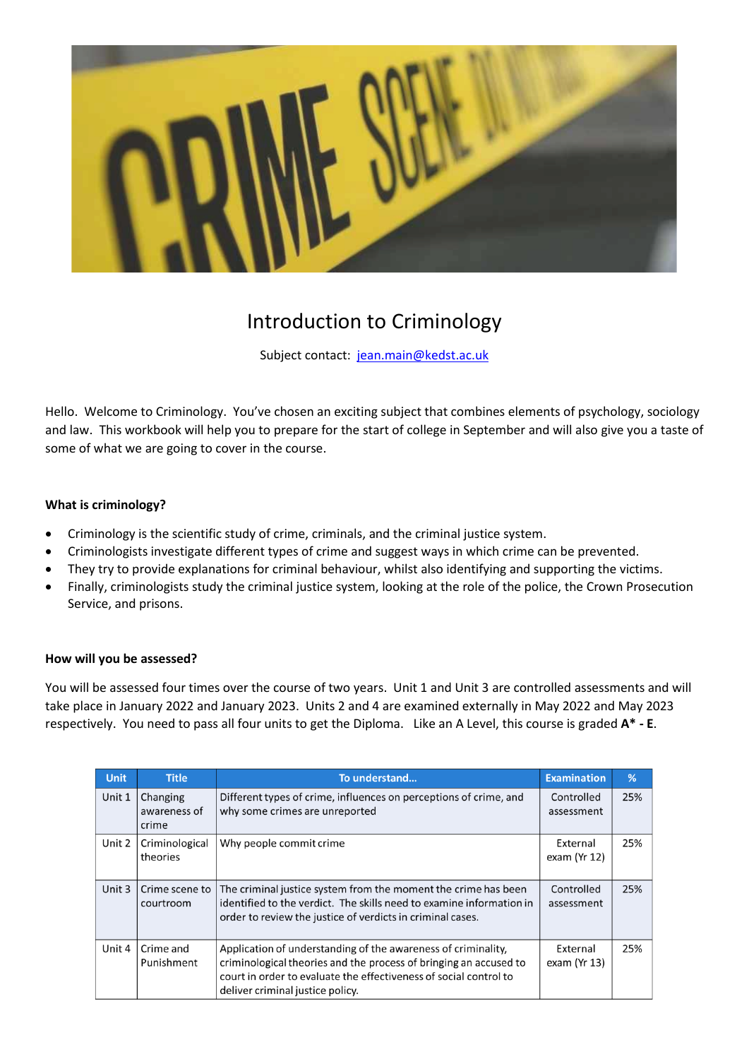

# Introduction to Criminology

Subject contact: [jean.main@kedst.ac.uk](mailto:jean.main@kedst.ac.uk)

Hello. Welcome to Criminology. You've chosen an exciting subject that combines elements of psychology, sociology and law. This workbook will help you to prepare for the start of college in September and will also give you a taste of some of what we are going to cover in the course.

## **What is criminology?**

- Criminology is the scientific study of crime, criminals, and the criminal justice system.
- Criminologists investigate different types of crime and suggest ways in which crime can be prevented.
- They try to provide explanations for criminal behaviour, whilst also identifying and supporting the victims.
- Finally, criminologists study the criminal justice system, looking at the role of the police, the Crown Prosecution Service, and prisons.

#### **How will you be assessed?**

You will be assessed four times over the course of two years. Unit 1 and Unit 3 are controlled assessments and will take place in January 2022 and January 2023. Units 2 and 4 are examined externally in May 2022 and May 2023 respectively. You need to pass all four units to get the Diploma. Like an A Level, this course is graded **A\* - E**.

| <b>Unit</b> | <b>Title</b>                      | To understand                                                                                                                                                                                                                               | <b>Examination</b>          | %   |
|-------------|-----------------------------------|---------------------------------------------------------------------------------------------------------------------------------------------------------------------------------------------------------------------------------------------|-----------------------------|-----|
| Unit 1      | Changing<br>awareness of<br>crime | Different types of crime, influences on perceptions of crime, and<br>why some crimes are unreported                                                                                                                                         | Controlled<br>assessment    | 25% |
| Unit 2      | Criminological<br>theories        | Why people commit crime                                                                                                                                                                                                                     | External<br>exam (Yr $12$ ) | 25% |
| Unit 3      | Crime scene to<br>courtroom       | The criminal justice system from the moment the crime has been<br>identified to the verdict. The skills need to examine information in<br>order to review the justice of verdicts in criminal cases.                                        | Controlled<br>assessment    | 25% |
| Unit 4      | Crime and<br>Punishment           | Application of understanding of the awareness of criminality,<br>criminological theories and the process of bringing an accused to<br>court in order to evaluate the effectiveness of social control to<br>deliver criminal justice policy. | External<br>exam (Yr 13)    | 25% |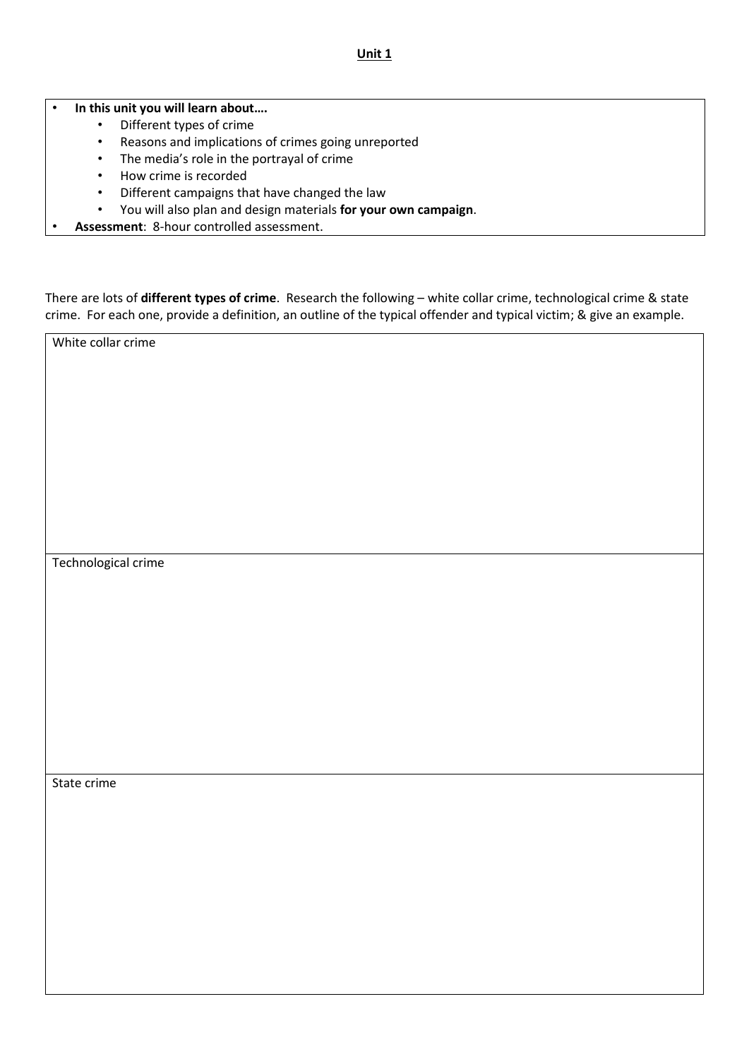## • **In this unit you will learn about….**

- Different types of crime
- Reasons and implications of crimes going unreported
- The media's role in the portrayal of crime
- How crime is recorded
- Different campaigns that have changed the law
- You will also plan and design materials **for your own campaign**.
- **Assessment**: 8-hour controlled assessment.

There are lots of **different types of crime**. Research the following – white collar crime, technological crime & state crime. For each one, provide a definition, an outline of the typical offender and typical victim; & give an example.

White collar crime

Technological crime

State crime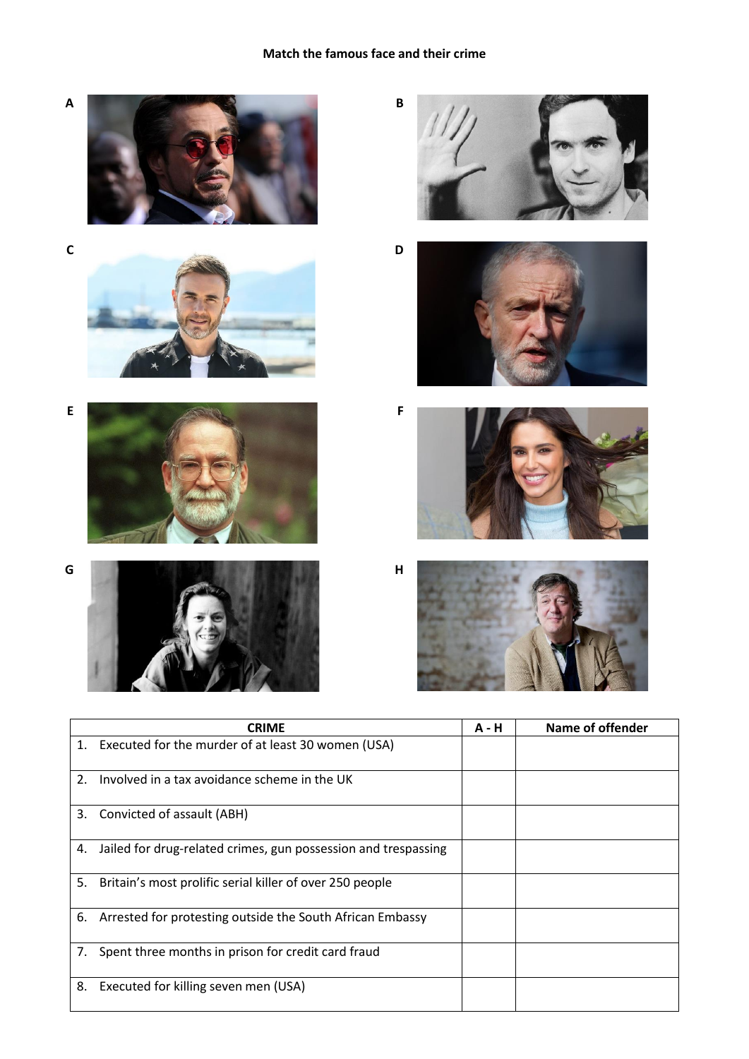# **Match the famous face and their crime**





















|    | <b>CRIME</b>                                                   | <b>A</b> - H | Name of offender |
|----|----------------------------------------------------------------|--------------|------------------|
|    | 1. Executed for the murder of at least 30 women (USA)          |              |                  |
| 2. | Involved in a tax avoidance scheme in the UK                   |              |                  |
| 3. | Convicted of assault (ABH)                                     |              |                  |
| 4. | Jailed for drug-related crimes, gun possession and trespassing |              |                  |
| 5. | Britain's most prolific serial killer of over 250 people       |              |                  |
| 6. | Arrested for protesting outside the South African Embassy      |              |                  |
| 7. | Spent three months in prison for credit card fraud             |              |                  |
| 8. | Executed for killing seven men (USA)                           |              |                  |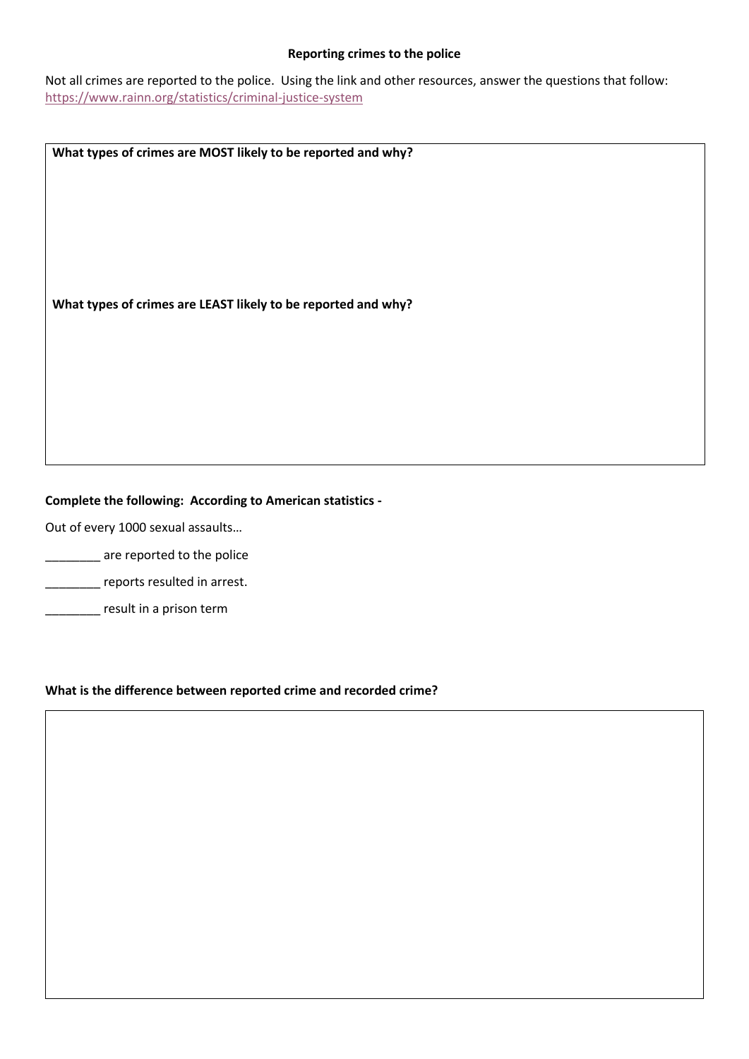#### **Reporting crimes to the police**

Not all crimes are reported to the police. Using the link and other resources, answer the questions that follow: <https://www.rainn.org/statistics/criminal-justice-system>

**What types of crimes are MOST likely to be reported and why?** 

**What types of crimes are LEAST likely to be reported and why?**

## **Complete the following: According to American statistics -**

Out of every 1000 sexual assaults…

- **120.12 The Serve reported to the police**
- **\_\_\_\_\_\_\_** reports resulted in arrest.
- **\_\_\_\_\_\_\_** result in a prison term

#### **What is the difference between reported crime and recorded crime?**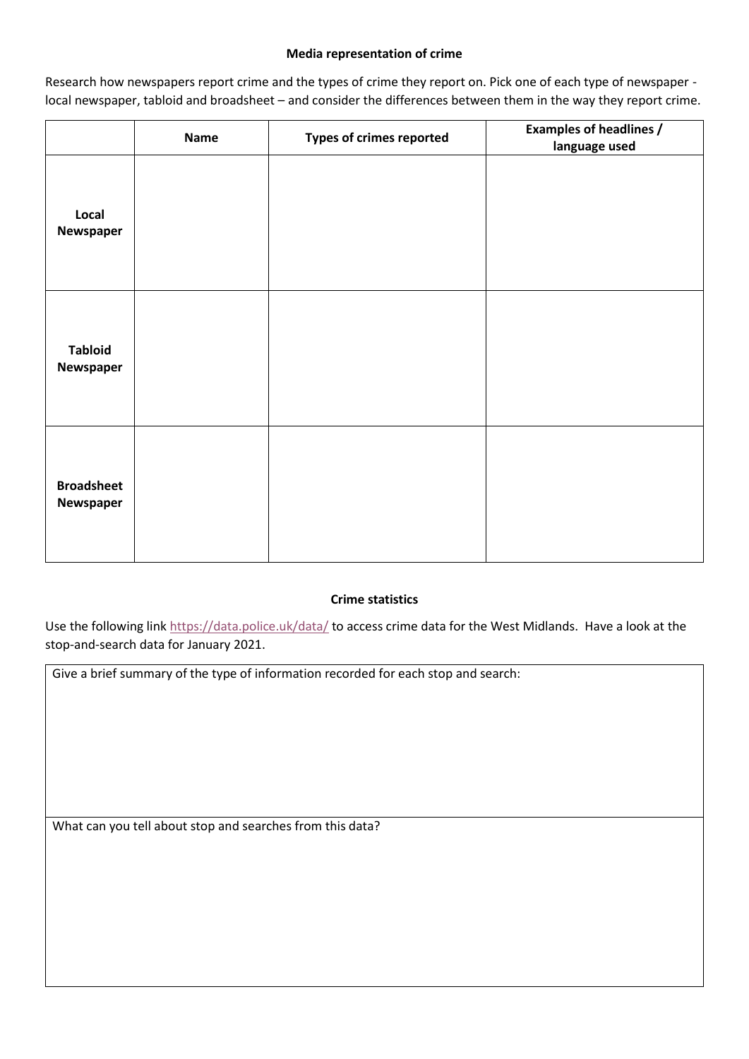## **Media representation of crime**

Research how newspapers report crime and the types of crime they report on. Pick one of each type of newspaper local newspaper, tabloid and broadsheet – and consider the differences between them in the way they report crime.

|                                | <b>Name</b> | Types of crimes reported | <b>Examples of headlines /</b><br>language used |
|--------------------------------|-------------|--------------------------|-------------------------------------------------|
| Local<br>Newspaper             |             |                          |                                                 |
| <b>Tabloid</b><br>Newspaper    |             |                          |                                                 |
| <b>Broadsheet</b><br>Newspaper |             |                          |                                                 |

## **Crime statistics**

Use the following link<https://data.police.uk/data/> to access crime data for the West Midlands. Have a look at the stop-and-search data for January 2021.

Give a brief summary of the type of information recorded for each stop and search:

What can you tell about stop and searches from this data?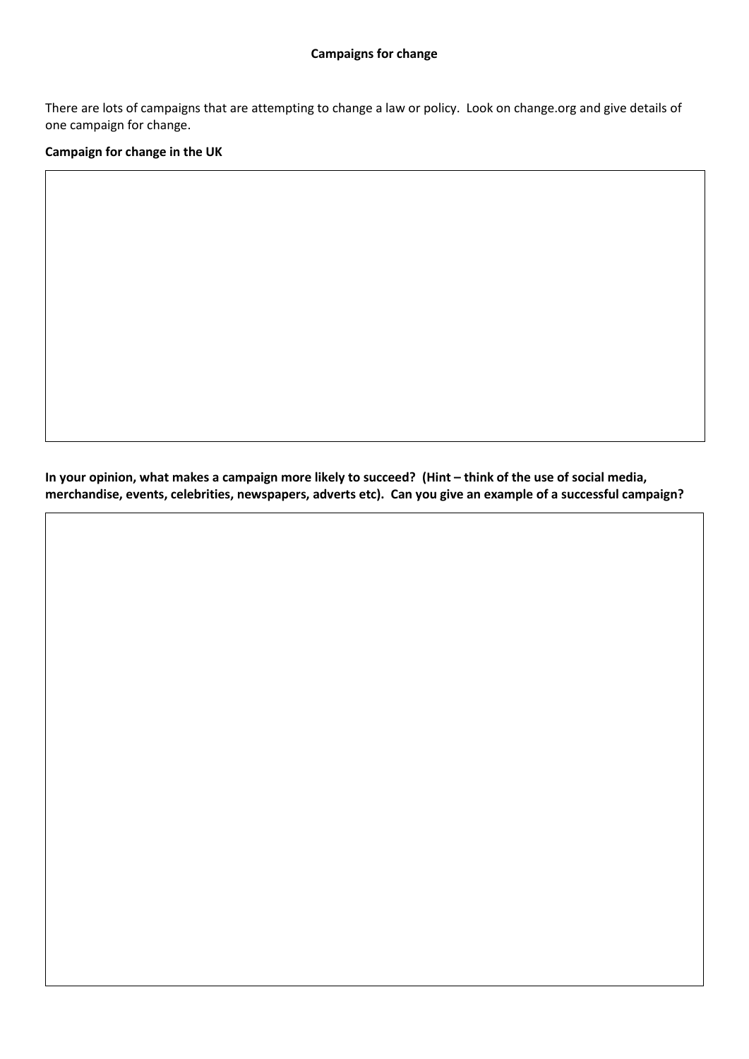There are lots of campaigns that are attempting to change a law or policy. Look on change.org and give details of one campaign for change.

**Campaign for change in the UK**

In your opinion, what makes a campaign more likely to succeed? (Hint - think of the use of social media, **merchandise, events, celebrities, newspapers, adverts etc). Can you give an example of a successful campaign?**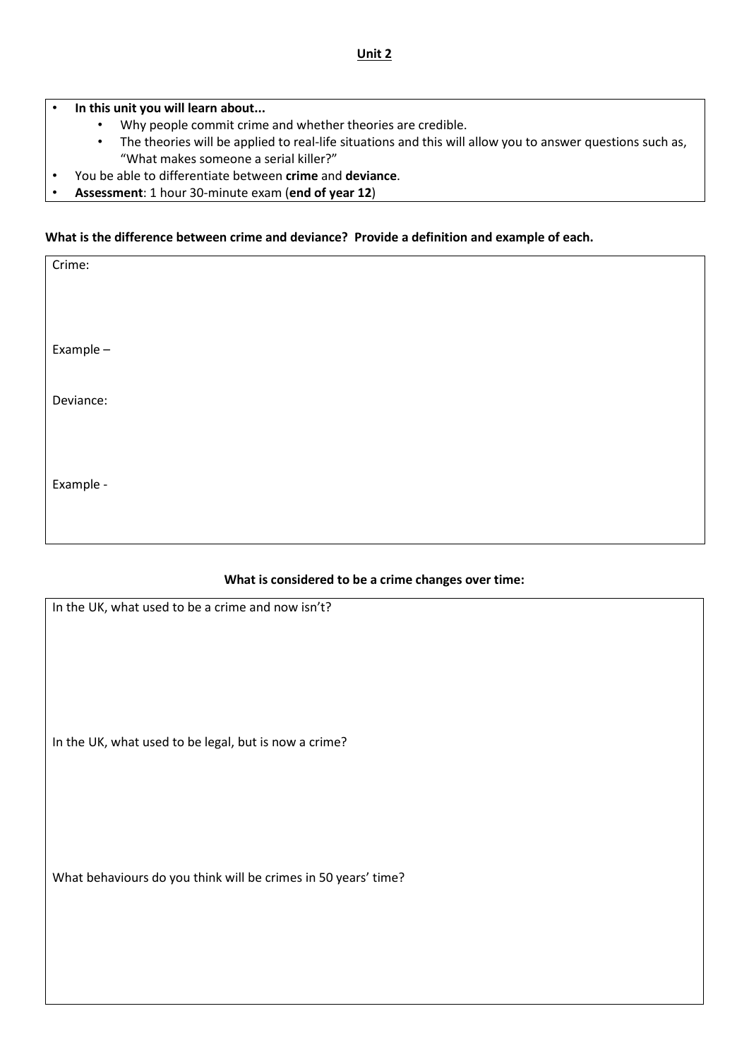• **In this unit you will learn about...**

- Why people commit crime and whether theories are credible.
- The theories will be applied to real-life situations and this will allow you to answer questions such as, "What makes someone a serial killer?"
- You be able to differentiate between **crime** and **deviance**.
- **Assessment**: 1 hour 30-minute exam (**end of year 12**)

#### **What is the difference between crime and deviance? Provide a definition and example of each.**

| Crime:    |  |  |  |
|-----------|--|--|--|
|           |  |  |  |
| Example-  |  |  |  |
| Deviance: |  |  |  |
|           |  |  |  |
| Example - |  |  |  |

#### **What is considered to be a crime changes over time:**

| In the UK, what used to be a crime and now isn't?              |
|----------------------------------------------------------------|
| In the UK, what used to be legal, but is now a crime?          |
| What behaviours do you think will be crimes in 50 years' time? |
|                                                                |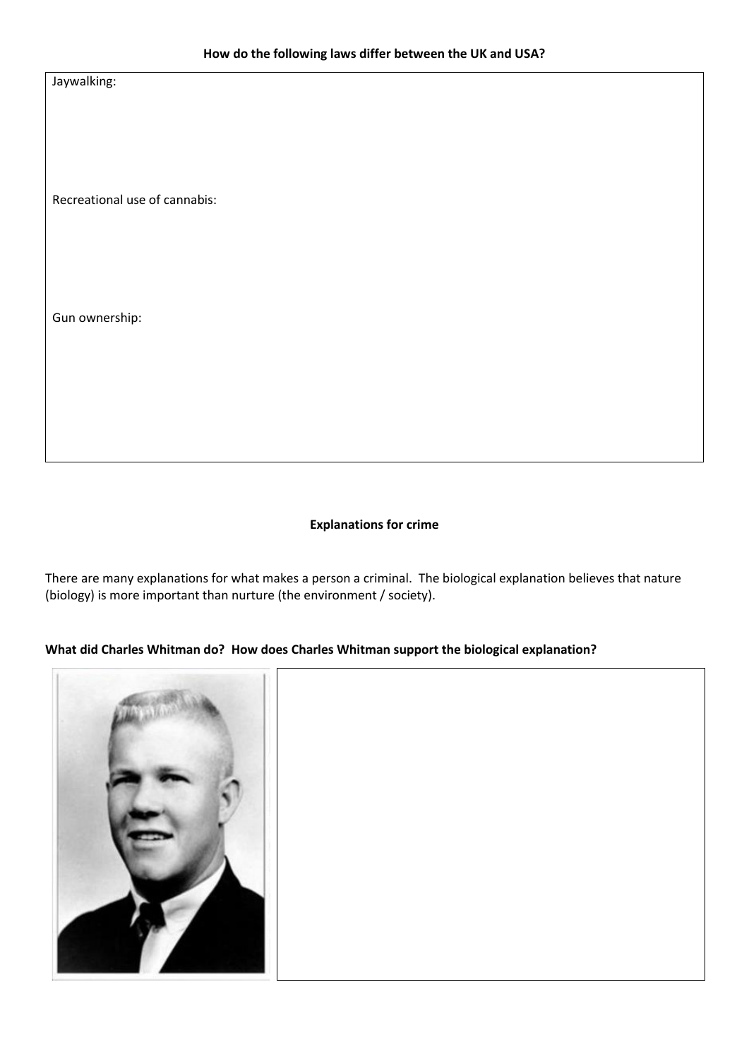Jaywalking:

Recreational use of cannabis:

Gun ownership:

#### **Explanations for crime**

There are many explanations for what makes a person a criminal. The biological explanation believes that nature (biology) is more important than nurture (the environment / society).

## **What did Charles Whitman do? How does Charles Whitman support the biological explanation?**

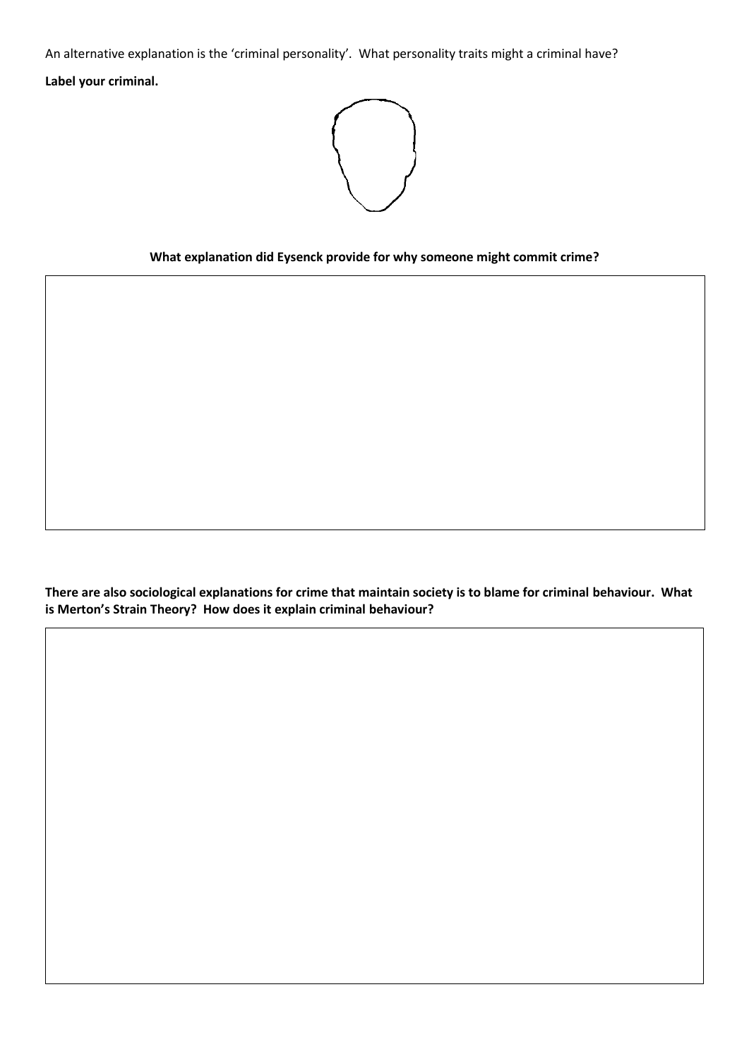An alternative explanation is the 'criminal personality'. What personality traits might a criminal have? **Label your criminal.**



## **What explanation did Eysenck provide for why someone might commit crime?**

**There are also sociological explanations for crime that maintain society is to blame for criminal behaviour. What is Merton's Strain Theory? How does it explain criminal behaviour?**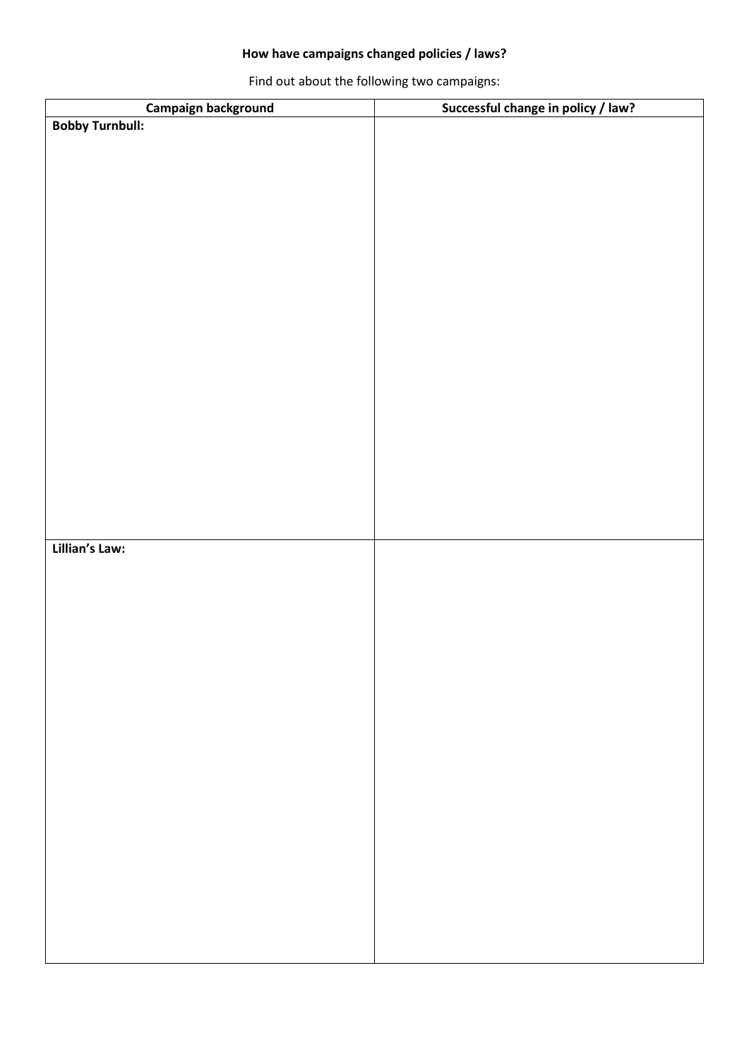# **How have campaigns changed policies / laws?**

Find out about the following two campaigns:

| Campaign background    | Successful change in policy / law? |
|------------------------|------------------------------------|
| <b>Bobby Turnbull:</b> |                                    |
|                        |                                    |
|                        |                                    |
|                        |                                    |
|                        |                                    |
|                        |                                    |
|                        |                                    |
|                        |                                    |
|                        |                                    |
|                        |                                    |
|                        |                                    |
|                        |                                    |
|                        |                                    |
|                        |                                    |
|                        |                                    |
|                        |                                    |
|                        |                                    |
|                        |                                    |
|                        |                                    |
|                        |                                    |
|                        |                                    |
| Lillian's Law:         |                                    |
|                        |                                    |
|                        |                                    |
|                        |                                    |
|                        |                                    |
|                        |                                    |
|                        |                                    |
|                        |                                    |
|                        |                                    |
|                        |                                    |
|                        |                                    |
|                        |                                    |
|                        |                                    |
|                        |                                    |
|                        |                                    |
|                        |                                    |
|                        |                                    |
|                        |                                    |
|                        |                                    |
|                        |                                    |
|                        |                                    |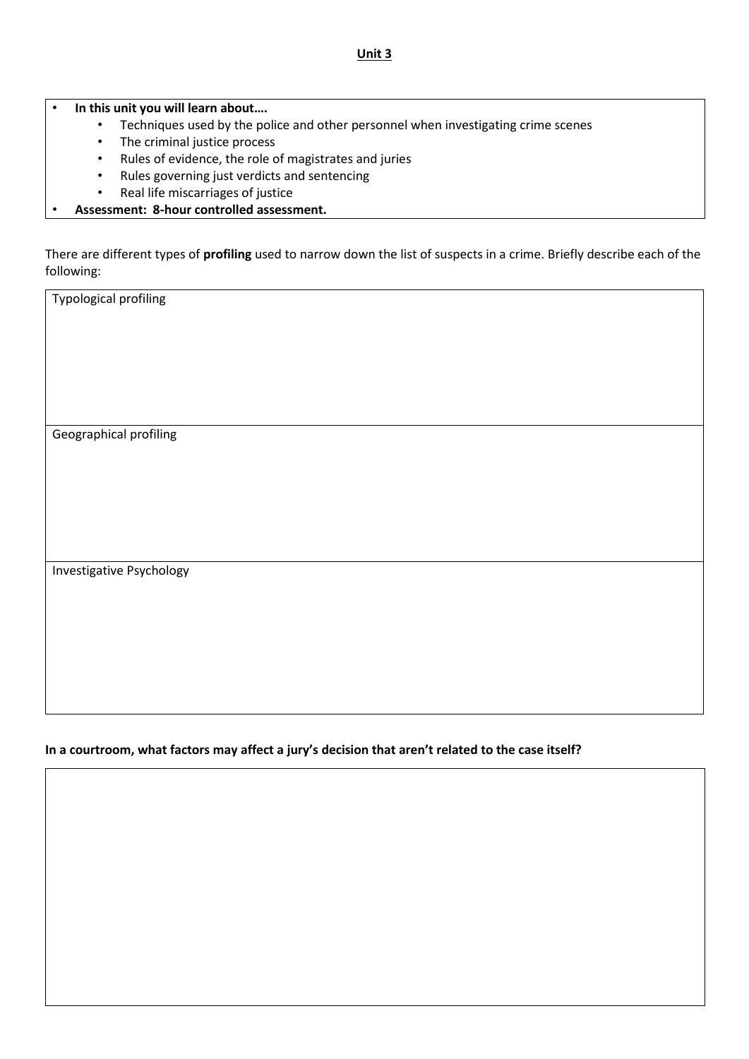#### **Unit 3**

• **In this unit you will learn about….**

- Techniques used by the police and other personnel when investigating crime scenes
- The criminal justice process
- Rules of evidence, the role of magistrates and juries
- Rules governing just verdicts and sentencing
- Real life miscarriages of justice
- **Assessment: 8-hour controlled assessment.**

There are different types of **profiling** used to narrow down the list of suspects in a crime. Briefly describe each of the following:

Typological profiling

Geographical profiling

Investigative Psychology

**In a courtroom, what factors may affect a jury's decision that aren't related to the case itself?**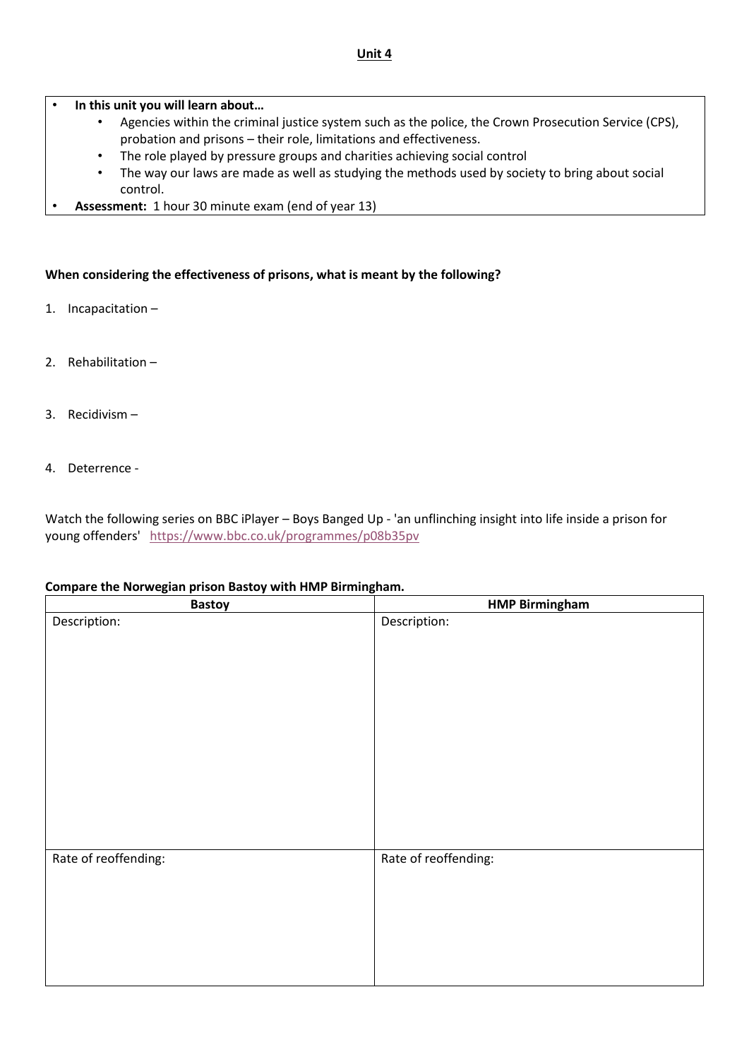## • **In this unit you will learn about…**

- Agencies within the criminal justice system such as the police, the Crown Prosecution Service (CPS), probation and prisons – their role, limitations and effectiveness.
- The role played by pressure groups and charities achieving social control
- The way our laws are made as well as studying the methods used by society to bring about social control.
- **Assessment:** 1 hour 30 minute exam (end of year 13)

#### **When considering the effectiveness of prisons, what is meant by the following?**

- 1. Incapacitation –
- 2. Rehabilitation –
- 3. Recidivism –
- 4. Deterrence -

Watch the following series on BBC iPlayer – Boys Banged Up - 'an unflinching insight into life inside a prison for young offenders' <https://www.bbc.co.uk/programmes/p08b35pv>

#### **Compare the Norwegian prison Bastoy with HMP Birmingham.**

| <b>Bastoy</b>        | <b>HMP Birmingham</b> |
|----------------------|-----------------------|
| Description:         | Description:          |
|                      |                       |
|                      |                       |
|                      |                       |
|                      |                       |
|                      |                       |
|                      |                       |
|                      |                       |
|                      |                       |
|                      |                       |
|                      |                       |
|                      |                       |
|                      |                       |
|                      |                       |
| Rate of reoffending: | Rate of reoffending:  |
|                      |                       |
|                      |                       |
|                      |                       |
|                      |                       |
|                      |                       |
|                      |                       |
|                      |                       |